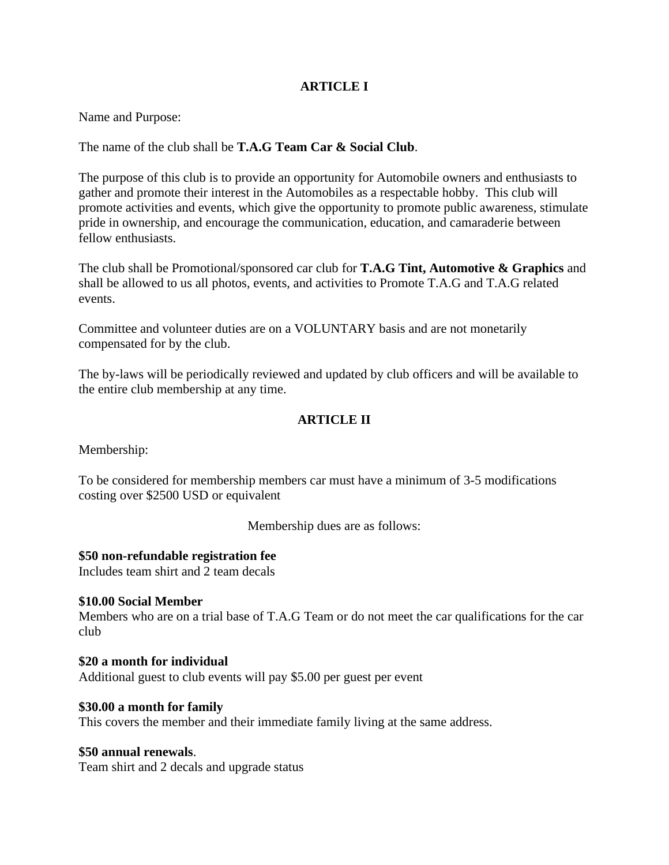### **ARTICLE I**

Name and Purpose:

The name of the club shall be **T.A.G Team Car & Social Club**.

The purpose of this club is to provide an opportunity for Automobile owners and enthusiasts to gather and promote their interest in the Automobiles as a respectable hobby. This club will promote activities and events, which give the opportunity to promote public awareness, stimulate pride in ownership, and encourage the communication, education, and camaraderie between fellow enthusiasts.

The club shall be Promotional/sponsored car club for **T.A.G Tint, Automotive & Graphics** and shall be allowed to us all photos, events, and activities to Promote T.A.G and T.A.G related events.

Committee and volunteer duties are on a VOLUNTARY basis and are not monetarily compensated for by the club.

The by-laws will be periodically reviewed and updated by club officers and will be available to the entire club membership at any time.

## **ARTICLE II**

Membership:

To be considered for membership members car must have a minimum of 3-5 modifications costing over \$2500 USD or equivalent

Membership dues are as follows:

#### **\$50 non-refundable registration fee**

Includes team shirt and 2 team decals

#### **\$10.00 Social Member**

Members who are on a trial base of T.A.G Team or do not meet the car qualifications for the car club

**\$20 a month for individual**  Additional guest to club events will pay \$5.00 per guest per event

#### **\$30.00 a month for family**

This covers the member and their immediate family living at the same address.

#### **\$50 annual renewals**.

Team shirt and 2 decals and upgrade status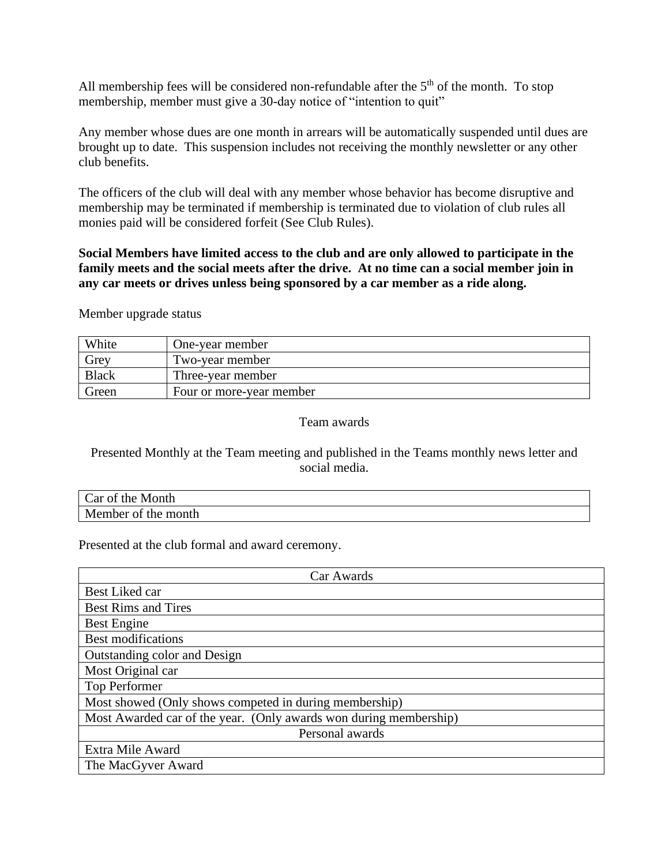All membership fees will be considered non-refundable after the  $5<sup>th</sup>$  of the month. To stop membership, member must give a 30-day notice of "intention to quit"

Any member whose dues are one month in arrears will be automatically suspended until dues are brought up to date. This suspension includes not receiving the monthly newsletter or any other club benefits.

The officers of the club will deal with any member whose behavior has become disruptive and membership may be terminated if membership is terminated due to violation of club rules all monies paid will be considered forfeit (See Club Rules).

### **Social Members have limited access to the club and are only allowed to participate in the family meets and the social meets after the drive. At no time can a social member join in any car meets or drives unless being sponsored by a car member as a ride along.**

Member upgrade status

| White        | One-year member          |
|--------------|--------------------------|
| Grey         | Two-year member          |
| <b>Black</b> | Three-year member        |
| Green        | Four or more-year member |

### Team awards

### Presented Monthly at the Team meeting and published in the Teams monthly news letter and social media.

| Car of<br>Month<br>the.   |  |
|---------------------------|--|
| Member<br>the month<br>ΟÌ |  |

Presented at the club formal and award ceremony.

| Car Awards                                                        |  |
|-------------------------------------------------------------------|--|
| Best Liked car                                                    |  |
| <b>Best Rims and Tires</b>                                        |  |
| Best Engine                                                       |  |
| <b>Best modifications</b>                                         |  |
| Outstanding color and Design                                      |  |
| Most Original car                                                 |  |
| Top Performer                                                     |  |
| Most showed (Only shows competed in during membership)            |  |
| Most Awarded car of the year. (Only awards won during membership) |  |
| Personal awards                                                   |  |
| Extra Mile Award                                                  |  |
| The MacGyver Award                                                |  |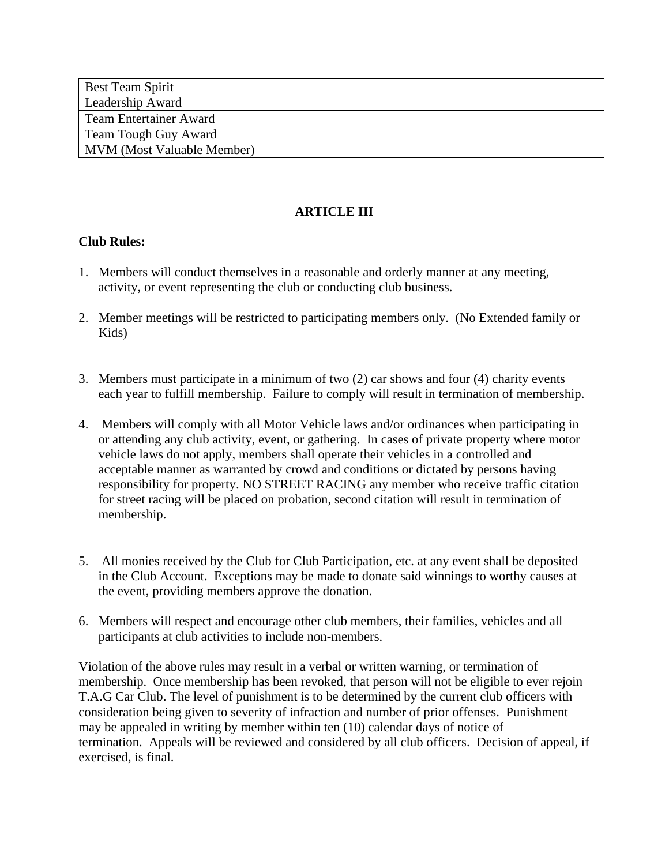| <b>Best Team Spirit</b>           |  |
|-----------------------------------|--|
| Leadership Award                  |  |
| Team Entertainer Award            |  |
| Team Tough Guy Award              |  |
| <b>MVM</b> (Most Valuable Member) |  |

# **ARTICLE III**

### **Club Rules:**

- 1. Members will conduct themselves in a reasonable and orderly manner at any meeting, activity, or event representing the club or conducting club business.
- 2. Member meetings will be restricted to participating members only. (No Extended family or Kids)
- 3. Members must participate in a minimum of two (2) car shows and four (4) charity events each year to fulfill membership. Failure to comply will result in termination of membership.
- 4. Members will comply with all Motor Vehicle laws and/or ordinances when participating in or attending any club activity, event, or gathering. In cases of private property where motor vehicle laws do not apply, members shall operate their vehicles in a controlled and acceptable manner as warranted by crowd and conditions or dictated by persons having responsibility for property. NO STREET RACING any member who receive traffic citation for street racing will be placed on probation, second citation will result in termination of membership.
- 5. All monies received by the Club for Club Participation, etc. at any event shall be deposited in the Club Account. Exceptions may be made to donate said winnings to worthy causes at the event, providing members approve the donation.
- 6. Members will respect and encourage other club members, their families, vehicles and all participants at club activities to include non-members.

Violation of the above rules may result in a verbal or written warning, or termination of membership. Once membership has been revoked, that person will not be eligible to ever rejoin T.A.G Car Club. The level of punishment is to be determined by the current club officers with consideration being given to severity of infraction and number of prior offenses. Punishment may be appealed in writing by member within ten (10) calendar days of notice of termination. Appeals will be reviewed and considered by all club officers. Decision of appeal, if exercised, is final.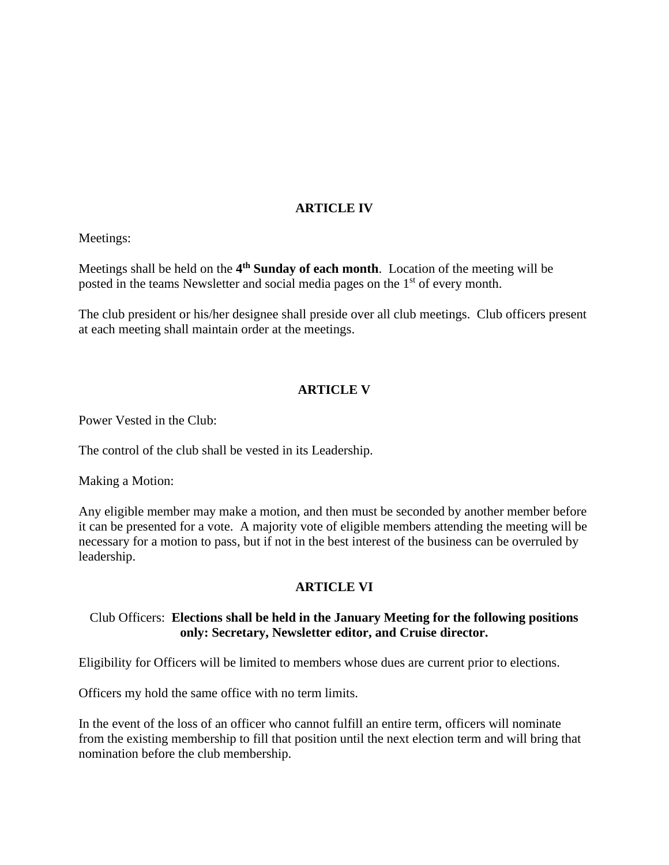### **ARTICLE IV**

Meetings:

Meetings shall be held on the **4 th Sunday of each month**. Location of the meeting will be posted in the teams Newsletter and social media pages on the 1<sup>st</sup> of every month.

The club president or his/her designee shall preside over all club meetings. Club officers present at each meeting shall maintain order at the meetings.

### **ARTICLE V**

Power Vested in the Club:

The control of the club shall be vested in its Leadership.

Making a Motion:

Any eligible member may make a motion, and then must be seconded by another member before it can be presented for a vote. A majority vote of eligible members attending the meeting will be necessary for a motion to pass, but if not in the best interest of the business can be overruled by leadership.

#### **ARTICLE VI**

#### Club Officers: **Elections shall be held in the January Meeting for the following positions only: Secretary, Newsletter editor, and Cruise director.**

Eligibility for Officers will be limited to members whose dues are current prior to elections.

Officers my hold the same office with no term limits.

In the event of the loss of an officer who cannot fulfill an entire term, officers will nominate from the existing membership to fill that position until the next election term and will bring that nomination before the club membership.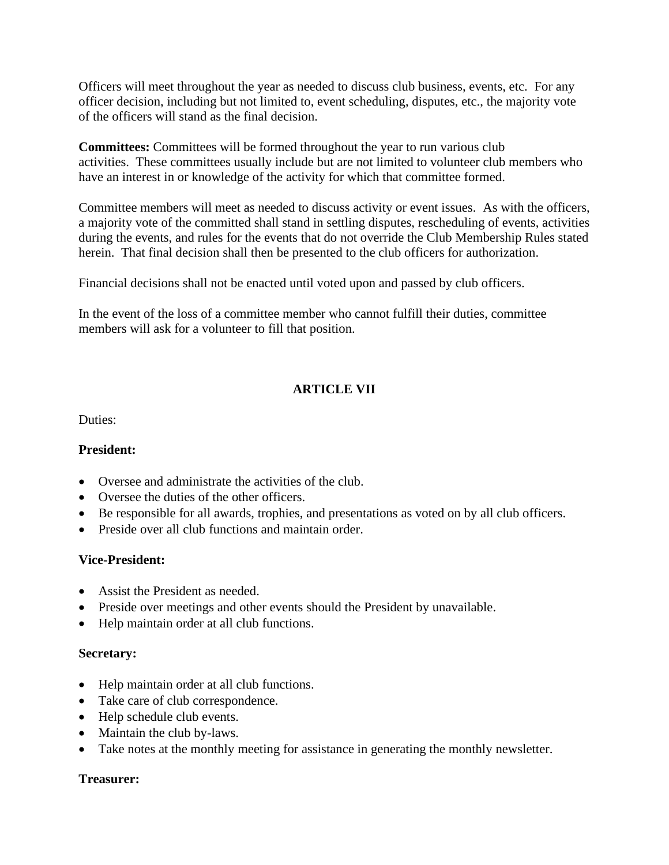Officers will meet throughout the year as needed to discuss club business, events, etc. For any officer decision, including but not limited to, event scheduling, disputes, etc., the majority vote of the officers will stand as the final decision.

**Committees:** Committees will be formed throughout the year to run various club activities. These committees usually include but are not limited to volunteer club members who have an interest in or knowledge of the activity for which that committee formed.

Committee members will meet as needed to discuss activity or event issues. As with the officers, a majority vote of the committed shall stand in settling disputes, rescheduling of events, activities during the events, and rules for the events that do not override the Club Membership Rules stated herein. That final decision shall then be presented to the club officers for authorization.

Financial decisions shall not be enacted until voted upon and passed by club officers.

In the event of the loss of a committee member who cannot fulfill their duties, committee members will ask for a volunteer to fill that position.

# **ARTICLE VII**

Duties:

### **President:**

- Oversee and administrate the activities of the club.
- Oversee the duties of the other officers.
- Be responsible for all awards, trophies, and presentations as voted on by all club officers.
- Preside over all club functions and maintain order.

### **Vice-President:**

- Assist the President as needed.
- Preside over meetings and other events should the President by unavailable.
- Help maintain order at all club functions.

### **Secretary:**

- Help maintain order at all club functions.
- Take care of club correspondence.
- Help schedule club events.
- Maintain the club by-laws.
- Take notes at the monthly meeting for assistance in generating the monthly newsletter.

### **Treasurer:**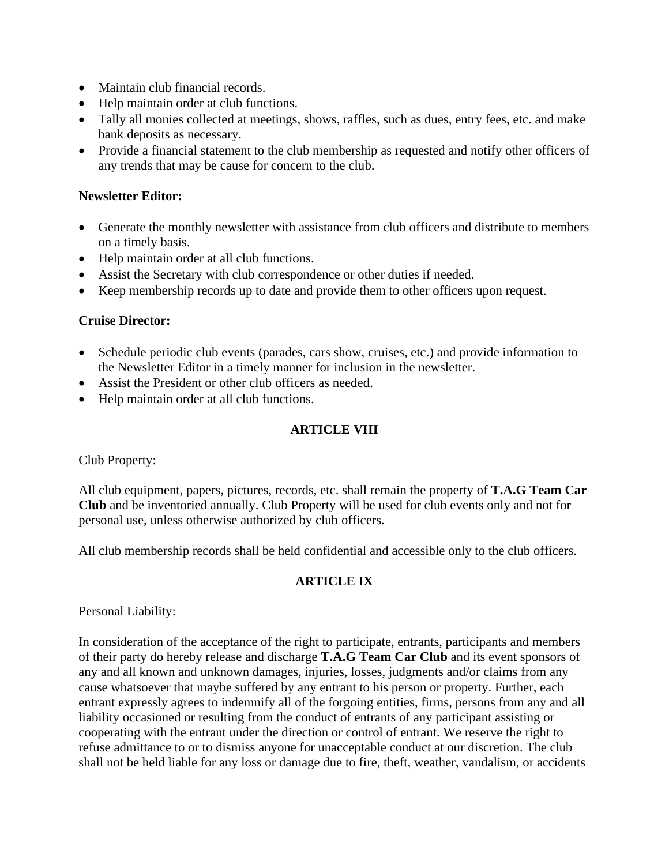- Maintain club financial records.
- Help maintain order at club functions.
- Tally all monies collected at meetings, shows, raffles, such as dues, entry fees, etc. and make bank deposits as necessary.
- Provide a financial statement to the club membership as requested and notify other officers of any trends that may be cause for concern to the club.

#### **Newsletter Editor:**

- Generate the monthly newsletter with assistance from club officers and distribute to members on a timely basis.
- Help maintain order at all club functions.
- Assist the Secretary with club correspondence or other duties if needed.
- Keep membership records up to date and provide them to other officers upon request.

#### **Cruise Director:**

- Schedule periodic club events (parades, cars show, cruises, etc.) and provide information to the Newsletter Editor in a timely manner for inclusion in the newsletter.
- Assist the President or other club officers as needed.
- Help maintain order at all club functions.

## **ARTICLE VIII**

Club Property:

All club equipment, papers, pictures, records, etc. shall remain the property of **T.A.G Team Car Club** and be inventoried annually. Club Property will be used for club events only and not for personal use, unless otherwise authorized by club officers.

All club membership records shall be held confidential and accessible only to the club officers.

### **ARTICLE IX**

Personal Liability:

In consideration of the acceptance of the right to participate, entrants, participants and members of their party do hereby release and discharge **T.A.G Team Car Club** and its event sponsors of any and all known and unknown damages, injuries, losses, judgments and/or claims from any cause whatsoever that maybe suffered by any entrant to his person or property. Further, each entrant expressly agrees to indemnify all of the forgoing entities, firms, persons from any and all liability occasioned or resulting from the conduct of entrants of any participant assisting or cooperating with the entrant under the direction or control of entrant. We reserve the right to refuse admittance to or to dismiss anyone for unacceptable conduct at our discretion. The club shall not be held liable for any loss or damage due to fire, theft, weather, vandalism, or accidents